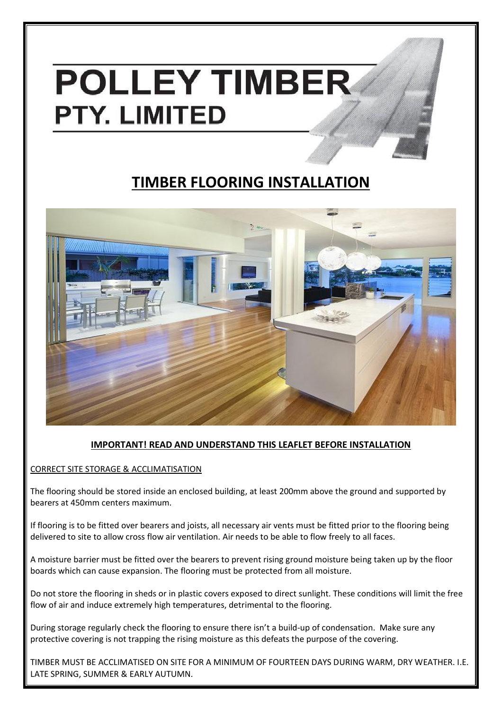# **POLLEY TIMBER PTY. LIMITED**

## **TIMBER FLOORING INSTALLATION**



### **IMPORTANT! READ AND UNDERSTAND THIS LEAFLET BEFORE INSTALLATION**

CORRECT SITE STORAGE & ACCLIMATISATION

The flooring should be stored inside an enclosed building, at least 200mm above the ground and supported by bearers at 450mm centers maximum.

If flooring is to be fitted over bearers and joists, all necessary air vents must be fitted prior to the flooring being delivered to site to allow cross flow air ventilation. Air needs to be able to flow freely to all faces.

A moisture barrier must be fitted over the bearers to prevent rising ground moisture being taken up by the floor boards which can cause expansion. The flooring must be protected from all moisture.

Do not store the flooring in sheds or in plastic covers exposed to direct sunlight. These conditions will limit the free flow of air and induce extremely high temperatures, detrimental to the flooring.

During storage regularly check the flooring to ensure there isn't a build-up of condensation. Make sure any protective covering is not trapping the rising moisture as this defeats the purpose of the covering.

TIMBER MUST BE ACCLIMATISED ON SITE FOR A MINIMUM OF FOURTEEN DAYS DURING WARM, DRY WEATHER. I.E. LATE SPRING, SUMMER & EARLY AUTUMN.